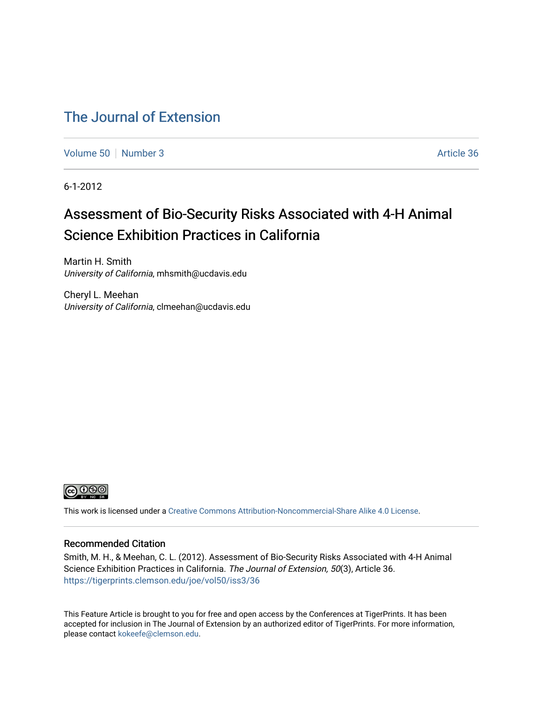## [The Journal of Extension](https://tigerprints.clemson.edu/joe)

[Volume 50](https://tigerprints.clemson.edu/joe/vol50) [Number 3](https://tigerprints.clemson.edu/joe/vol50/iss3) Article 36

6-1-2012

# Assessment of Bio-Security Risks Associated with 4-H Animal Science Exhibition Practices in California

Martin H. Smith University of California, mhsmith@ucdavis.edu

Cheryl L. Meehan University of California, clmeehan@ucdavis.edu



This work is licensed under a [Creative Commons Attribution-Noncommercial-Share Alike 4.0 License.](https://creativecommons.org/licenses/by-nc-sa/4.0/)

#### Recommended Citation

Smith, M. H., & Meehan, C. L. (2012). Assessment of Bio-Security Risks Associated with 4-H Animal Science Exhibition Practices in California. The Journal of Extension, 50(3), Article 36. <https://tigerprints.clemson.edu/joe/vol50/iss3/36>

This Feature Article is brought to you for free and open access by the Conferences at TigerPrints. It has been accepted for inclusion in The Journal of Extension by an authorized editor of TigerPrints. For more information, please contact [kokeefe@clemson.edu](mailto:kokeefe@clemson.edu).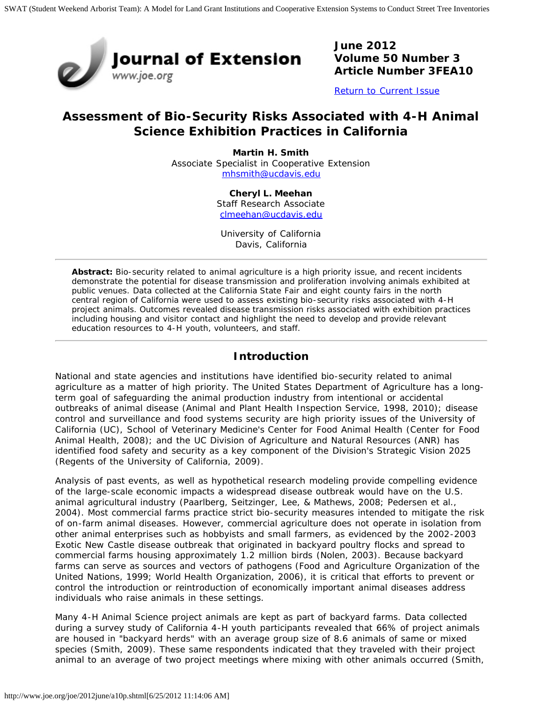

**June 2012 Volume 50 Number 3 Article Number 3FEA10**

[Return to Current Issue](http://www.joe.org/joe/2012june/)

### **Assessment of Bio-Security Risks Associated with 4-H Animal Science Exhibition Practices in California**

**Martin H. Smith** Associate Specialist in Cooperative Extension [mhsmith@ucdavis.edu](mailto:mhsmith@ucdavis.edu)

> **Cheryl L. Meehan** Staff Research Associate [clmeehan@ucdavis.edu](mailto:clmeehan@ucdavis.edu)

University of California Davis, California

*Abstract: Bio-security related to animal agriculture is a high priority issue, and recent incidents demonstrate the potential for disease transmission and proliferation involving animals exhibited at public venues. Data collected at the California State Fair and eight county fairs in the north central region of California were used to assess existing bio-security risks associated with 4-H project animals. Outcomes revealed disease transmission risks associated with exhibition practices including housing and visitor contact and highlight the need to develop and provide relevant education resources to 4-H youth, volunteers, and staff.*

#### **Introduction**

National and state agencies and institutions have identified bio-security related to animal agriculture as a matter of high priority. The United States Department of Agriculture has a longterm goal of safeguarding the animal production industry from intentional or accidental outbreaks of animal disease (Animal and Plant Health Inspection Service, 1998, 2010); disease control and surveillance and food systems security are high priority issues of the University of California (UC), School of Veterinary Medicine's Center for Food Animal Health (Center for Food Animal Health, 2008); and the UC Division of Agriculture and Natural Resources (ANR) has identified food safety and security as a key component of the Division's Strategic Vision 2025 (Regents of the University of California, 2009).

Analysis of past events, as well as hypothetical research modeling provide compelling evidence of the large-scale economic impacts a widespread disease outbreak would have on the U.S. animal agricultural industry (Paarlberg, Seitzinger, Lee, & Mathews, 2008; Pedersen et al., 2004). Most commercial farms practice strict bio-security measures intended to mitigate the risk of on-farm animal diseases. However, commercial agriculture does not operate in isolation from other animal enterprises such as hobbyists and small farmers, as evidenced by the 2002-2003 Exotic New Castle disease outbreak that originated in backyard poultry flocks and spread to commercial farms housing approximately 1.2 million birds (Nolen, 2003). Because backyard farms can serve as sources and vectors of pathogens (Food and Agriculture Organization of the United Nations, 1999; World Health Organization, 2006), it is critical that efforts to prevent or control the introduction or reintroduction of economically important animal diseases address individuals who raise animals in these settings.

Many 4-H Animal Science project animals are kept as part of backyard farms. Data collected during a survey study of California 4-H youth participants revealed that 66% of project animals are housed in "backyard herds" with an average group size of 8.6 animals of same or mixed species (Smith, 2009). These same respondents indicated that they traveled with their project animal to an average of two project meetings where mixing with other animals occurred (Smith,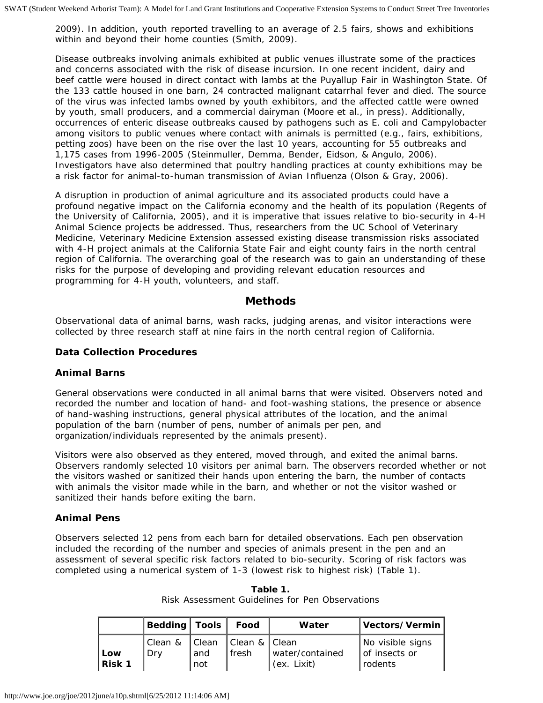2009). In addition, youth reported travelling to an average of 2.5 fairs, shows and exhibitions within and beyond their home counties (Smith, 2009).

Disease outbreaks involving animals exhibited at public venues illustrate some of the practices and concerns associated with the risk of disease incursion. In one recent incident, dairy and beef cattle were housed in direct contact with lambs at the Puyallup Fair in Washington State. Of the 133 cattle housed in one barn, 24 contracted malignant catarrhal fever and died. The source of the virus was infected lambs owned by youth exhibitors, and the affected cattle were owned by youth, small producers, and a commercial dairyman (Moore et al., *in press*). Additionally, occurrences of enteric disease outbreaks caused by pathogens such as *E. coli* and *Campylobacter* among visitors to public venues where contact with animals is permitted (e.g., fairs, exhibitions, petting zoos) have been on the rise over the last 10 years, accounting for 55 outbreaks and 1,175 cases from 1996-2005 (Steinmuller, Demma, Bender, Eidson, & Angulo, 2006). Investigators have also determined that poultry handling practices at county exhibitions may be a risk factor for animal-to-human transmission of Avian Influenza (Olson & Gray, 2006).

A disruption in production of animal agriculture and its associated products could have a profound negative impact on the California economy and the health of its population (Regents of the University of California, 2005), and it is imperative that issues relative to bio-security in 4-H Animal Science projects be addressed. Thus, researchers from the UC School of Veterinary Medicine, Veterinary Medicine Extension assessed existing disease transmission risks associated with 4-H project animals at the California State Fair and eight county fairs in the north central region of California. The overarching goal of the research was to gain an understanding of these risks for the purpose of developing and providing relevant education resources and programming for 4-H youth, volunteers, and staff.

#### **Methods**

Observational data of animal barns, wash racks, judging arenas, and visitor interactions were collected by three research staff at nine fairs in the north central region of California.

#### **Data Collection Procedures**

#### *Animal Barns*

General observations were conducted in all animal barns that were visited. Observers noted and recorded the number and location of hand- and foot-washing stations, the presence or absence of hand-washing instructions, general physical attributes of the location, and the animal population of the barn (number of pens, number of animals per pen, and organization/individuals represented by the animals present).

Visitors were also observed as they entered, moved through, and exited the animal barns. Observers randomly selected 10 visitors per animal barn. The observers recorded whether or not the visitors washed or sanitized their hands upon entering the barn, the number of contacts with animals the visitor made while in the barn, and whether or not the visitor washed or sanitized their hands before exiting the barn.

#### *Animal Pens*

Observers selected 12 pens from each barn for detailed observations. Each pen observation included the recording of the number and species of animals present in the pen and an assessment of several specific risk factors related to bio-security. Scoring of risk factors was completed using a numerical system of 1-3 (lowest risk to highest risk) (Table 1).

|                     | Bedding   Tools   Food |            |                                      | Water                          | Vectors/Vermin                                 |
|---------------------|------------------------|------------|--------------------------------------|--------------------------------|------------------------------------------------|
| l Low<br>$ $ Risk 1 | l Clean &<br>Drv       | and<br>not | I Clean I Clean & I Clean<br>l fresh | water/contained<br>(ex. Lixit) | No visible signs<br>of insects or<br>l rodents |

**Table 1.** Risk Assessment Guidelines for Pen Observations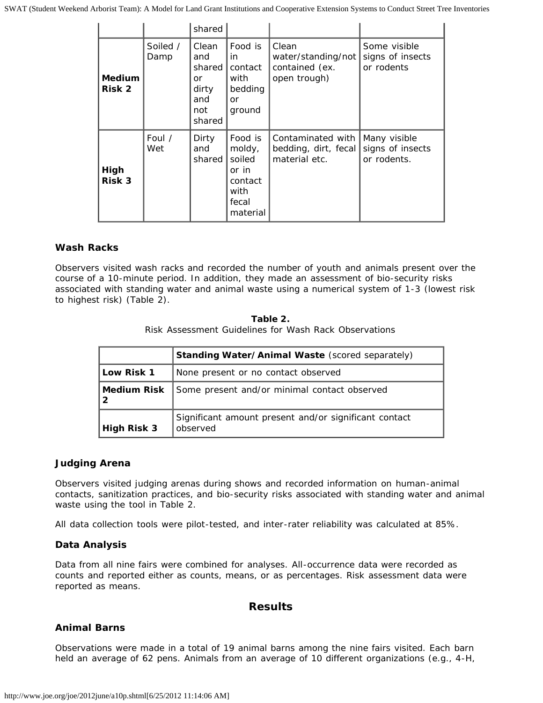SWAT (Student Weekend Arborist Team): A Model for Land Grant Institutions and Cooperative Extension Systems to Conduct Street Tree Inventories

|                           |                  | shared                                                        |                                                                              |                                                               |                                                 |
|---------------------------|------------------|---------------------------------------------------------------|------------------------------------------------------------------------------|---------------------------------------------------------------|-------------------------------------------------|
| <b>Medium</b><br>Risk 2   | Soiled /<br>Damp | Clean<br>and<br>shared<br>or<br>dirty<br>and<br>not<br>shared | Food is<br>in.<br>contact<br>with<br>bedding<br>or<br>ground                 | Clean<br>water/standing/not<br>contained (ex.<br>open trough) | Some visible<br>signs of insects<br>or rodents  |
| High<br>Risk <sub>3</sub> | Foul /<br>Wet    | Dirty<br>and<br>shared                                        | Food is<br>moldy,<br>soiled<br>or in<br>contact<br>with<br>fecal<br>material | Contaminated with<br>bedding, dirt, fecal<br>material etc.    | Many visible<br>signs of insects<br>or rodents. |

#### *Wash Racks*

Observers visited wash racks and recorded the number of youth and animals present over the course of a 10-minute period. In addition, they made an assessment of bio-security risks associated with standing water and animal waste using a numerical system of 1-3 (lowest risk to highest risk) (Table 2).

#### **Table 2.** Risk Assessment Guidelines for Wash Rack Observations

|                    | Standing Water/Animal Waste (scored separately)                   |  |  |
|--------------------|-------------------------------------------------------------------|--|--|
| Low Risk 1         | None present or no contact observed                               |  |  |
| <b>Medium Risk</b> | Some present and/or minimal contact observed                      |  |  |
| High Risk 3        | Significant amount present and/or significant contact<br>observed |  |  |

#### *Judging Arena*

Observers visited judging arenas during shows and recorded information on human-animal contacts, sanitization practices, and bio-security risks associated with standing water and animal waste using the tool in Table 2.

All data collection tools were pilot-tested, and inter-rater reliability was calculated at 85%.

#### **Data Analysis**

Data from all nine fairs were combined for analyses. All-occurrence data were recorded as counts and reported either as counts, means, or as percentages. Risk assessment data were reported as means.

#### **Results**

#### **Animal Barns**

Observations were made in a total of 19 animal barns among the nine fairs visited. Each barn held an average of 62 pens. Animals from an average of 10 different organizations (e.g., 4-H,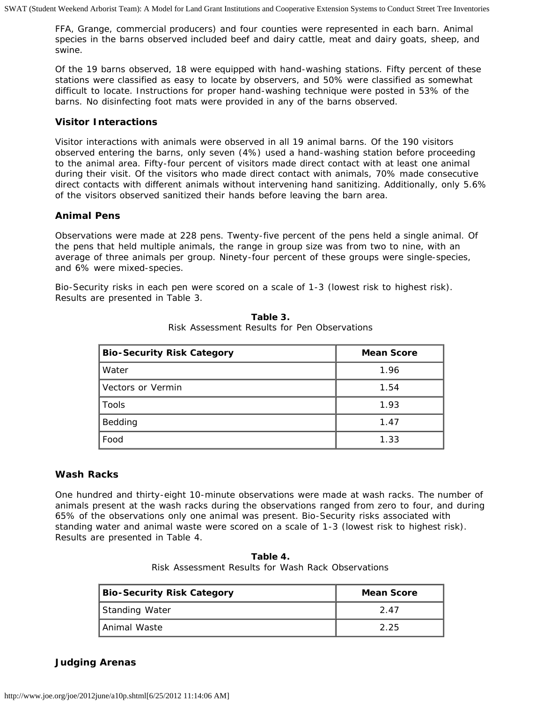FFA, Grange, commercial producers) and four counties were represented in each barn. Animal species in the barns observed included beef and dairy cattle, meat and dairy goats, sheep, and swine.

Of the 19 barns observed, 18 were equipped with hand-washing stations. Fifty percent of these stations were classified as easy to locate by observers, and 50% were classified as somewhat difficult to locate. Instructions for proper hand-washing technique were posted in 53% of the barns. No disinfecting foot mats were provided in any of the barns observed.

#### **Visitor Interactions**

Visitor interactions with animals were observed in all 19 animal barns. Of the 190 visitors observed entering the barns, only seven (4%) used a hand-washing station before proceeding to the animal area. Fifty-four percent of visitors made direct contact with at least one animal during their visit. Of the visitors who made direct contact with animals, 70% made consecutive direct contacts with different animals without intervening hand sanitizing. Additionally, only 5.6% of the visitors observed sanitized their hands before leaving the barn area.

#### **Animal Pens**

Observations were made at 228 pens. Twenty-five percent of the pens held a single animal. Of the pens that held multiple animals, the range in group size was from two to nine, with an average of three animals per group. Ninety-four percent of these groups were single-species, and 6% were mixed-species.

Bio-Security risks in each pen were scored on a scale of 1-3 (lowest risk to highest risk). Results are presented in Table 3.

| <b>Bio-Security Risk Category</b> | <b>Mean Score</b> |
|-----------------------------------|-------------------|
| Water                             | 1.96              |
| Vectors or Vermin                 | 1.54              |
| Tools                             | 1.93              |
| Bedding                           | 1.47              |
| Food                              | 1.33              |

**Table 3.** Risk Assessment Results for Pen Observations

#### **Wash Racks**

One hundred and thirty-eight 10-minute observations were made at wash racks. The number of animals present at the wash racks during the observations ranged from zero to four, and during 65% of the observations only one animal was present. Bio-Security risks associated with standing water and animal waste were scored on a scale of 1-3 (lowest risk to highest risk). Results are presented in Table 4.

**Table 4.** Risk Assessment Results for Wash Rack Observations

| <b>Bio-Security Risk Category</b> | <b>Mean Score</b> |
|-----------------------------------|-------------------|
| Standing Water                    | 247               |
| l Animal Waste                    | 2.25              |

**Judging Arenas**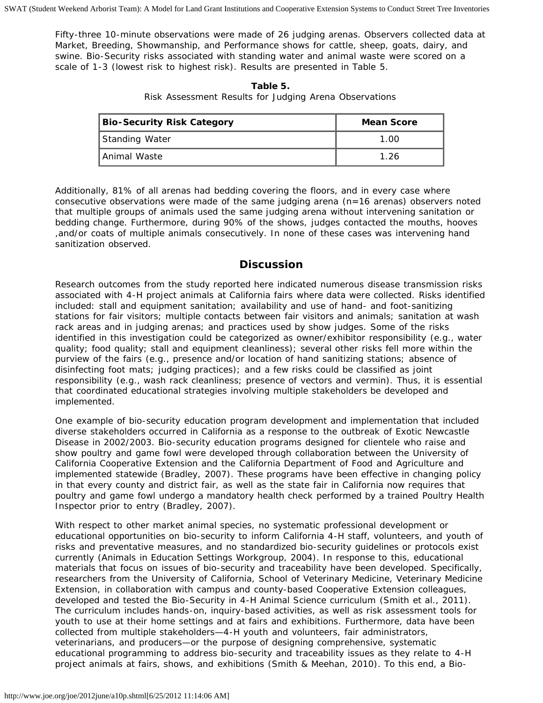Fifty-three 10-minute observations were made of 26 judging arenas. Observers collected data at Market, Breeding, Showmanship, and Performance shows for cattle, sheep, goats, dairy, and swine. Bio-Security risks associated with standing water and animal waste were scored on a scale of 1-3 (lowest risk to highest risk). Results are presented in Table 5.

| <b>Bio-Security Risk Category</b> | <b>Mean Score</b> |
|-----------------------------------|-------------------|
| Standing Water                    | 1.00              |
| Animal Waste                      | 1.26              |

**Table 5.** Risk Assessment Results for Judging Arena Observations

Additionally, 81% of all arenas had bedding covering the floors, and in every case where consecutive observations were made of the same judging arena (n=16 arenas) observers noted that multiple groups of animals used the same judging arena without intervening sanitation or bedding change. Furthermore, during 90% of the shows, judges contacted the mouths, hooves ,and/or coats of multiple animals consecutively. In none of these cases was intervening hand sanitization observed.

#### **Discussion**

Research outcomes from the study reported here indicated numerous disease transmission risks associated with 4-H project animals at California fairs where data were collected. Risks identified included: stall and equipment sanitation; availability and use of hand- and foot-sanitizing stations for fair visitors; multiple contacts between fair visitors and animals; sanitation at wash rack areas and in judging arenas; and practices used by show judges. Some of the risks identified in this investigation could be categorized as owner/exhibitor responsibility (e.g., water quality; food quality; stall and equipment cleanliness); several other risks fell more within the purview of the fairs (e.g., presence and/or location of hand sanitizing stations; absence of disinfecting foot mats; judging practices); and a few risks could be classified as joint responsibility (e.g., wash rack cleanliness; presence of vectors and vermin). Thus, it is essential that coordinated educational strategies involving multiple stakeholders be developed and implemented.

One example of bio-security education program development and implementation that included diverse stakeholders occurred in California as a response to the outbreak of Exotic Newcastle Disease in 2002/2003. Bio-security education programs designed for clientele who raise and show poultry and game fowl were developed through collaboration between the University of California Cooperative Extension and the California Department of Food and Agriculture and implemented statewide (Bradley, 2007). These programs have been effective in changing policy in that every county and district fair, as well as the state fair in California now requires that poultry and game fowl undergo a mandatory health check performed by a trained Poultry Health Inspector prior to entry (Bradley, 2007).

With respect to other market animal species, no systematic professional development or educational opportunities on bio-security to inform California 4-H staff, volunteers, and youth of risks and preventative measures, and no standardized bio-security guidelines or protocols exist currently (Animals in Education Settings Workgroup, 2004). In response to this, educational materials that focus on issues of bio-security and traceability have been developed. Specifically, researchers from the University of California, School of Veterinary Medicine, Veterinary Medicine Extension, in collaboration with campus and county-based Cooperative Extension colleagues, developed and tested the *Bio-Security in 4-H Animal Science* curriculum (Smith et al., 2011). The curriculum includes hands-on, inquiry-based activities, as well as risk assessment tools for youth to use at their home settings and at fairs and exhibitions. Furthermore, data have been collected from multiple stakeholders—4-H youth and volunteers, fair administrators, veterinarians, and producers—or the purpose of designing comprehensive, systematic educational programming to address bio-security and traceability issues as they relate to 4-H project animals at fairs, shows, and exhibitions (Smith & Meehan, 2010). To this end, a Bio-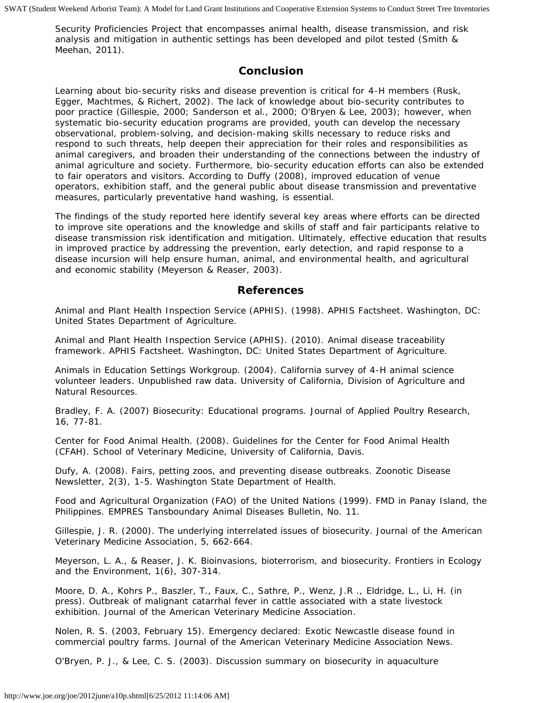Security Proficiencies Project that encompasses animal health, disease transmission, and risk analysis and mitigation in authentic settings has been developed and pilot tested (Smith & Meehan, 2011).

#### **Conclusion**

Learning about bio-security risks and disease prevention is critical for 4-H members (Rusk, Egger, Machtmes, & Richert, 2002). The lack of knowledge about bio-security contributes to poor practice (Gillespie, 2000; Sanderson et al., 2000; O'Bryen & Lee, 2003); however, when systematic bio-security education programs are provided, youth can develop the necessary observational, problem-solving, and decision-making skills necessary to reduce risks and respond to such threats, help deepen their appreciation for their roles and responsibilities as animal caregivers, and broaden their understanding of the connections between the industry of animal agriculture and society. Furthermore, bio-security education efforts can also be extended to fair operators and visitors. According to Duffy (2008), improved education of venue operators, exhibition staff, and the general public about disease transmission and preventative measures, particularly preventative hand washing, is essential.

The findings of the study reported here identify several key areas where efforts can be directed to improve site operations and the knowledge and skills of staff and fair participants relative to disease transmission risk identification and mitigation. Ultimately, effective education that results in improved practice by addressing the prevention, early detection, and rapid response to a disease incursion will help ensure human, animal, and environmental health, and agricultural and economic stability (Meyerson & Reaser, 2003).

#### **References**

Animal and Plant Health Inspection Service (APHIS). (1998). APHIS Factsheet*.* Washington, DC: United States Department of Agriculture.

Animal and Plant Health Inspection Service (APHIS). (2010). *Animal disease traceability framework*. APHIS Factsheet*.* Washington, DC: United States Department of Agriculture.

Animals in Education Settings Workgroup. (2004). *California survey of 4-H animal science volunteer leaders*. Unpublished raw data. University of California, Division of Agriculture and Natural Resources.

Bradley, F. A. (2007) Biosecurity: Educational programs. *Journal of Applied Poultry Research,* 16, 77-81.

Center for Food Animal Health. (2008). Guidelines for the Center for Food Animal Health (CFAH). School of Veterinary Medicine, University of California, Davis.

Dufy, A. (2008). Fairs, petting zoos, and preventing disease outbreaks. *Zoonotic Disease Newsletter,* 2(3), 1-5. Washington State Department of Health.

Food and Agricultural Organization (FAO) of the United Nations (1999). FMD in Panay Island, the Philippines. *EMPRES Tansboundary Animal Diseases Bulletin, No. 11.*

Gillespie, J. R. (2000). The underlying interrelated issues of biosecurity. *Journal of the American Veterinary Medicine Association,* 5, 662-664.

Meyerson, L. A., & Reaser, J. K. Bioinvasions, bioterrorism, and biosecurity. *Frontiers in Ecology and the Environment,* 1(6), 307-314.

Moore, D. A., Kohrs P., Baszler, T., Faux, C., Sathre, P., Wenz, J.R ., Eldridge, L., Li, H. (in press). Outbreak of malignant catarrhal fever in cattle associated with a state livestock exhibition. *Journal of the American Veterinary Medicine Association*.

Nolen, R. S. (2003, February 15). Emergency declared: Exotic Newcastle disease found in commercial poultry farms. *Journal of the American Veterinary Medicine Association News.*

O'Bryen, P. J., & Lee, C. S. (2003). Discussion summary on biosecurity in aquaculture